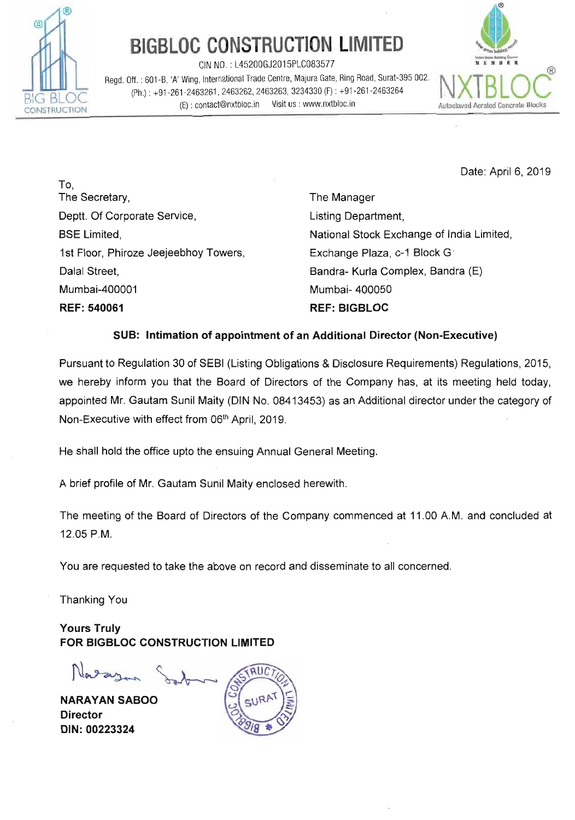

## **BIGBLOC CONSTRUCTION LIMITED**

CIN NO. : L45200GJ2015PLC083577 **YIUIB.** 

Regd. Off. : 601 -B, 'A' Wing, International Trade Centre, Majura Gate, Ring Road, Surat-395 002. (Ph.) : +91-261-2463261, 2463262, 2463263, 3234330 (F) : +91-261-2463264<br>
CONSTRUCTION (E) : contact@nxtbloc.in Visit us : www.nxtbloc.in Autoclaved Aerated Concrete Blocks



Date: April 6, 2019

To, The Secretary, Deptt. Of Corporate Service, BSE Limited, 1st Floor, Phiroze Jeejeebhoy Towers, Dalal Street, Mumbai-400001 **REF:** 540061

The Manager Listing Department, National Stock Exchange of India Limited, Exchange Plaza, c-1 Block G. Bandra- Kurla Complex, Bandra (E) Mumbai- 400050 **REF: BIGBLOC** 

## **SUB: Intimation of appointment of an Additional Director (Non-Executive)**

Pursuant to Regulation 30 of SEBl (Listing Obligations & Disclosure Requirements) Regulations, 2015, we hereby inform you that the Board of Directors of the Company has, at its meeting held today, appointed Mr. Gautam Sunil Maity (DIN No. 08413453) as an Additional director under the category of Non-Executive with effect from 06<sup>th</sup> April, 2019.

He shall hold the office upto the ensuing Annual General Meeting.

A brief profile of Mr. Gautam Sunil Maity enclosed herewith.

The meeting of the Board of Directors of the Company commenced at 11 .OO A.M. and concluded at 12.05 P.M.

You are requested to take the above on record and disseminate to all concerned.

Thanking You

**Yours Truly FOR BIGBLOC CONSTRUCTION LIMITED** 

Varagan Sort

**NARAYAN SABOO Director DIN: 00223324**